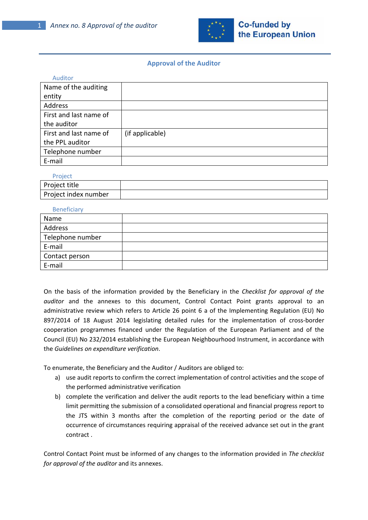

## **Approval of the Auditor**

| Auditor                |                 |
|------------------------|-----------------|
| Name of the auditing   |                 |
| entity                 |                 |
| Address                |                 |
| First and last name of |                 |
| the auditor            |                 |
| First and last name of | (if applicable) |
| the PPL auditor        |                 |
| Telephone number       |                 |
| E-mail                 |                 |

## **Project**

| .                    |  |
|----------------------|--|
| Project title        |  |
| Project index number |  |

## **Beneficiary**

| ----------       |  |
|------------------|--|
| Name             |  |
| Address          |  |
| Telephone number |  |
| E-mail           |  |
| Contact person   |  |
| E-mail           |  |

On the basis of the information provided by the Beneficiary in the *Checklist for approval of the auditor* and the annexes to this document, Control Contact Point grants approval to an administrative review which refers to Article 26 point 6 a of the Implementing Regulation (EU) No 897/2014 of 18 August 2014 legislating detailed rules for the implementation of cross-border cooperation programmes financed under the Regulation of the European Parliament and of the Council (EU) No 232/2014 establishing the European Neighbourhood Instrument, in accordance with the *Guidelines on expenditure verification*.

To enumerate, the Beneficiary and the Auditor / Auditors are obliged to:

- a) use audit reports to confirm the correct implementation of control activities and the scope of the performed administrative verification
- b) complete the verification and deliver the audit reports to the lead beneficiary within a time limit permitting the submission of a consolidated operational and financial progress report to the JTS within 3 months after the completion of the reporting period or the date of occurrence of circumstances requiring appraisal of the received advance set out in the grant contract .

Control Contact Point must be informed of any changes to the information provided in *The checklist for approval of the auditor* and its annexes.